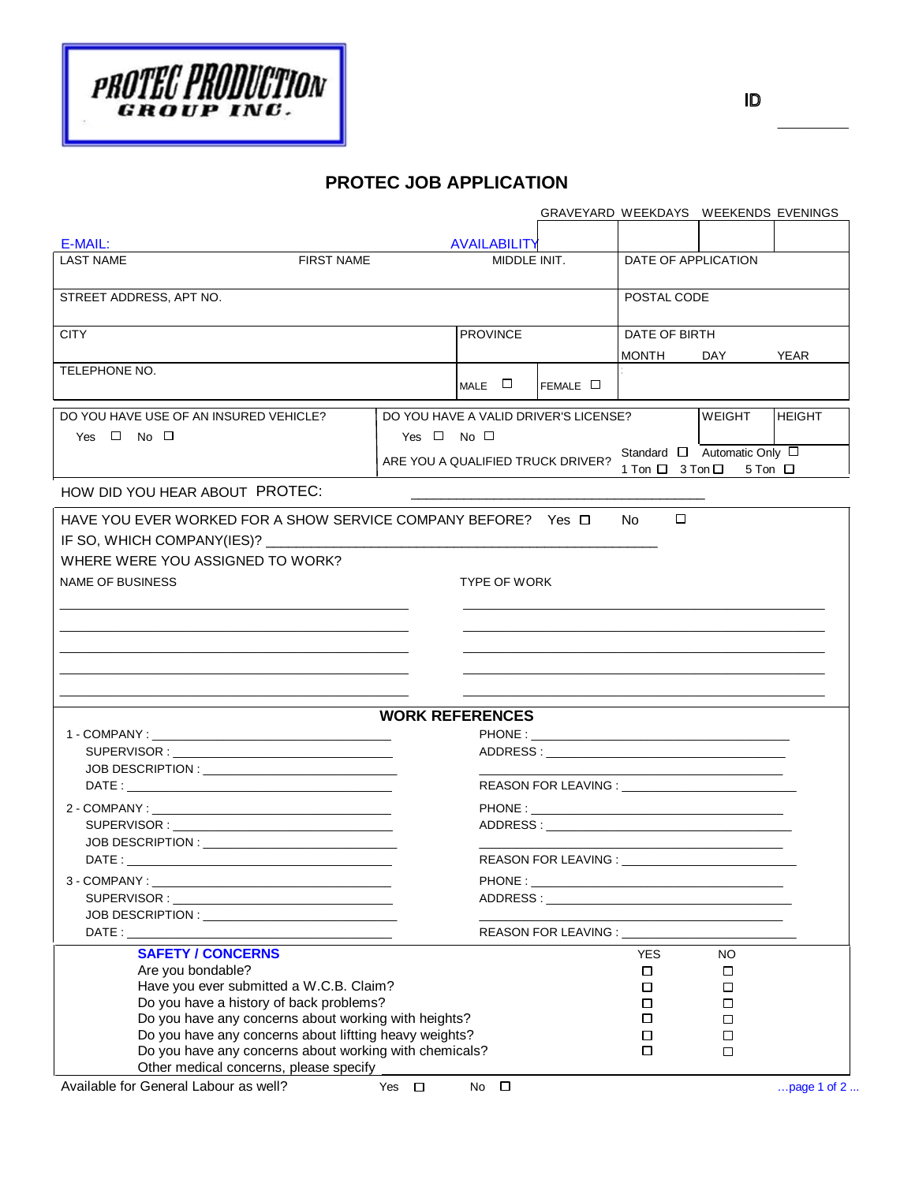

|                                                                                                  |                        |                     |                                                                                                       | GRAVEYARD WEEKDAYS WEEKENDS EVENINGS |                                                                                                                        |               |  |
|--------------------------------------------------------------------------------------------------|------------------------|---------------------|-------------------------------------------------------------------------------------------------------|--------------------------------------|------------------------------------------------------------------------------------------------------------------------|---------------|--|
|                                                                                                  |                        |                     |                                                                                                       |                                      |                                                                                                                        |               |  |
| E-MAIL:<br><b>LAST NAME</b><br><b>FIRST NAME</b>                                                 |                        | <b>AVAILABILITY</b> |                                                                                                       | DATE OF APPLICATION                  |                                                                                                                        |               |  |
|                                                                                                  |                        | MIDDLE INIT.        |                                                                                                       |                                      |                                                                                                                        |               |  |
|                                                                                                  |                        |                     |                                                                                                       |                                      |                                                                                                                        |               |  |
| STREET ADDRESS, APT NO.                                                                          |                        |                     |                                                                                                       | POSTAL CODE                          |                                                                                                                        |               |  |
|                                                                                                  |                        |                     |                                                                                                       |                                      |                                                                                                                        |               |  |
| <b>CITY</b>                                                                                      |                        | <b>PROVINCE</b>     |                                                                                                       | DATE OF BIRTH                        |                                                                                                                        |               |  |
|                                                                                                  |                        |                     |                                                                                                       | MONTH                                | DAY                                                                                                                    | YEAR          |  |
| TELEPHONE NO.                                                                                    |                        |                     |                                                                                                       |                                      |                                                                                                                        |               |  |
|                                                                                                  |                        | $MALE$ $\square$    | FEMALE □                                                                                              |                                      |                                                                                                                        |               |  |
| DO YOU HAVE USE OF AN INSURED VEHICLE?<br>DO YOU HAVE A VALID DRIVER'S LICENSE?<br><b>WEIGHT</b> |                        |                     |                                                                                                       |                                      |                                                                                                                        |               |  |
| Yes $\Box$ No $\Box$                                                                             | Yes $\Box$ No $\Box$   |                     |                                                                                                       |                                      |                                                                                                                        | <b>HEIGHT</b> |  |
|                                                                                                  |                        |                     |                                                                                                       |                                      |                                                                                                                        |               |  |
|                                                                                                  |                        |                     | Standard □ Automatic Only □<br>ARE YOU A QUALIFIED TRUCK DRIVER?<br>$5$ Ton $\Box$<br>1 Ton □ 3 Ton □ |                                      |                                                                                                                        |               |  |
|                                                                                                  |                        |                     |                                                                                                       |                                      |                                                                                                                        |               |  |
| HOW DID YOU HEAR ABOUT PROTEC:                                                                   |                        |                     |                                                                                                       |                                      |                                                                                                                        |               |  |
| HAVE YOU EVER WORKED FOR A SHOW SERVICE COMPANY BEFORE? Yes $\Box$                               |                        |                     |                                                                                                       | □<br>No.                             |                                                                                                                        |               |  |
|                                                                                                  |                        |                     |                                                                                                       |                                      |                                                                                                                        |               |  |
| IF SO, WHICH COMPANY(IES)? ________                                                              |                        |                     |                                                                                                       |                                      |                                                                                                                        |               |  |
| WHERE WERE YOU ASSIGNED TO WORK?                                                                 |                        |                     |                                                                                                       |                                      |                                                                                                                        |               |  |
| <b>NAME OF BUSINESS</b>                                                                          |                        | <b>TYPE OF WORK</b> |                                                                                                       |                                      |                                                                                                                        |               |  |
|                                                                                                  |                        |                     |                                                                                                       |                                      |                                                                                                                        |               |  |
|                                                                                                  |                        |                     |                                                                                                       |                                      |                                                                                                                        |               |  |
|                                                                                                  |                        |                     |                                                                                                       |                                      |                                                                                                                        |               |  |
|                                                                                                  |                        |                     |                                                                                                       |                                      |                                                                                                                        |               |  |
|                                                                                                  |                        |                     |                                                                                                       |                                      |                                                                                                                        |               |  |
|                                                                                                  |                        |                     |                                                                                                       |                                      |                                                                                                                        |               |  |
|                                                                                                  |                        |                     |                                                                                                       |                                      |                                                                                                                        |               |  |
|                                                                                                  | <b>WORK REFERENCES</b> |                     |                                                                                                       |                                      |                                                                                                                        |               |  |
|                                                                                                  |                        |                     |                                                                                                       |                                      |                                                                                                                        |               |  |
|                                                                                                  |                        |                     |                                                                                                       |                                      |                                                                                                                        |               |  |
|                                                                                                  |                        |                     |                                                                                                       |                                      |                                                                                                                        |               |  |
|                                                                                                  |                        |                     |                                                                                                       |                                      |                                                                                                                        |               |  |
|                                                                                                  |                        |                     |                                                                                                       |                                      |                                                                                                                        |               |  |
|                                                                                                  |                        |                     |                                                                                                       |                                      |                                                                                                                        |               |  |
|                                                                                                  |                        |                     |                                                                                                       |                                      |                                                                                                                        |               |  |
|                                                                                                  |                        |                     |                                                                                                       |                                      |                                                                                                                        |               |  |
|                                                                                                  |                        |                     |                                                                                                       |                                      |                                                                                                                        |               |  |
|                                                                                                  |                        |                     |                                                                                                       |                                      |                                                                                                                        |               |  |
|                                                                                                  |                        |                     |                                                                                                       |                                      | <u> 1980 - Jan James James Jan James James James James James James James James James James James James James James</u> |               |  |
|                                                                                                  |                        |                     |                                                                                                       |                                      |                                                                                                                        |               |  |
| <b>SAFETY / CONCERNS</b>                                                                         |                        |                     |                                                                                                       | <b>YES</b>                           | <b>NO</b>                                                                                                              |               |  |
| Are you bondable?                                                                                |                        |                     |                                                                                                       | $\Box$                               | □                                                                                                                      |               |  |
| Have you ever submitted a W.C.B. Claim?                                                          |                        |                     |                                                                                                       | $\Box$                               | $\Box$                                                                                                                 |               |  |
| Do you have a history of back problems?                                                          |                        |                     |                                                                                                       | □                                    | □                                                                                                                      |               |  |
| Do you have any concerns about working with heights?                                             |                        |                     | □                                                                                                     | □                                    |                                                                                                                        |               |  |
| Do you have any concerns about liftting heavy weights?                                           |                        |                     |                                                                                                       | □                                    | □                                                                                                                      |               |  |
| Do you have any concerns about working with chemicals?                                           |                        |                     |                                                                                                       |                                      | □                                                                                                                      |               |  |
| Other medical concerns, please specify                                                           |                        |                     |                                                                                                       |                                      |                                                                                                                        |               |  |
| Available for General Labour as well?                                                            | Yes $\Box$             | No $\square$        |                                                                                                       |                                      |                                                                                                                        | page 1 of 2   |  |

 $\overline{\phantom{a}}$